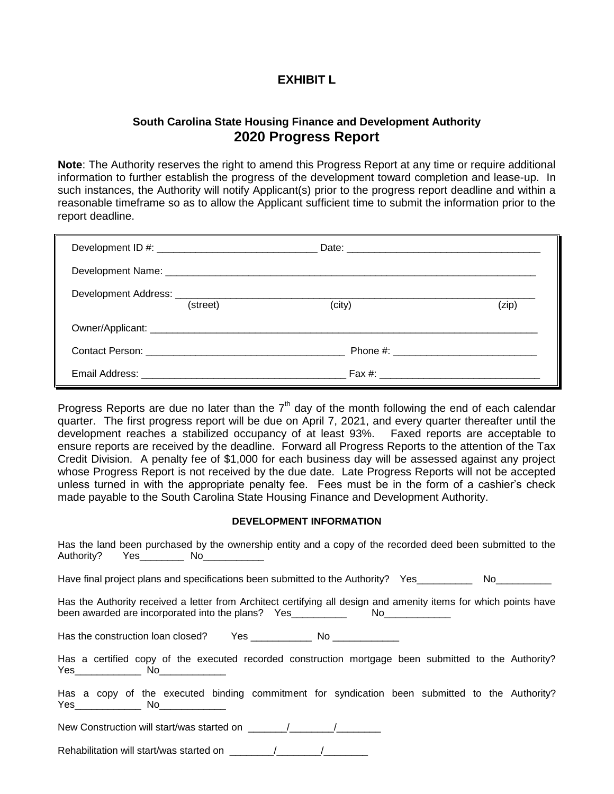## **EXHIBIT L**

## **South Carolina State Housing Finance and Development Authority 2020 Progress Report**

**Note**: The Authority reserves the right to amend this Progress Report at any time or require additional information to further establish the progress of the development toward completion and lease-up. In such instances, the Authority will notify Applicant(s) prior to the progress report deadline and within a reasonable timeframe so as to allow the Applicant sufficient time to submit the information prior to the report deadline.

| (street) | (city) | (zip) |
|----------|--------|-------|
|          |        |       |
|          |        |       |
|          |        |       |

Progress Reports are due no later than the  $7<sup>th</sup>$  day of the month following the end of each calendar quarter. The first progress report will be due on April 7, 2021, and every quarter thereafter until the development reaches a stabilized occupancy of at least 93%. Faxed reports are acceptable to ensure reports are received by the deadline. Forward all Progress Reports to the attention of the Tax Credit Division. A penalty fee of \$1,000 for each business day will be assessed against any project whose Progress Report is not received by the due date. Late Progress Reports will not be accepted unless turned in with the appropriate penalty fee. Fees must be in the form of a cashier's check made payable to the South Carolina State Housing Finance and Development Authority.

## **DEVELOPMENT INFORMATION**

| Has the land been purchased by the ownership entity and a copy of the recorded deed been submitted to the                                                                                             |  |
|-------------------------------------------------------------------------------------------------------------------------------------------------------------------------------------------------------|--|
| Have final project plans and specifications been submitted to the Authority? Yes No No                                                                                                                |  |
| Has the Authority received a letter from Architect certifying all design and amenity items for which points have<br>been awarded are incorporated into the plans? Yes________________________________ |  |
|                                                                                                                                                                                                       |  |
| Has a certified copy of the executed recorded construction mortgage been submitted to the Authority?                                                                                                  |  |
| Has a copy of the executed binding commitment for syndication been submitted to the Authority?                                                                                                        |  |
| New Construction will start/was started on $\sqrt{2}$                                                                                                                                                 |  |
| Rehabilitation will start/was started on $\sqrt{2}$                                                                                                                                                   |  |